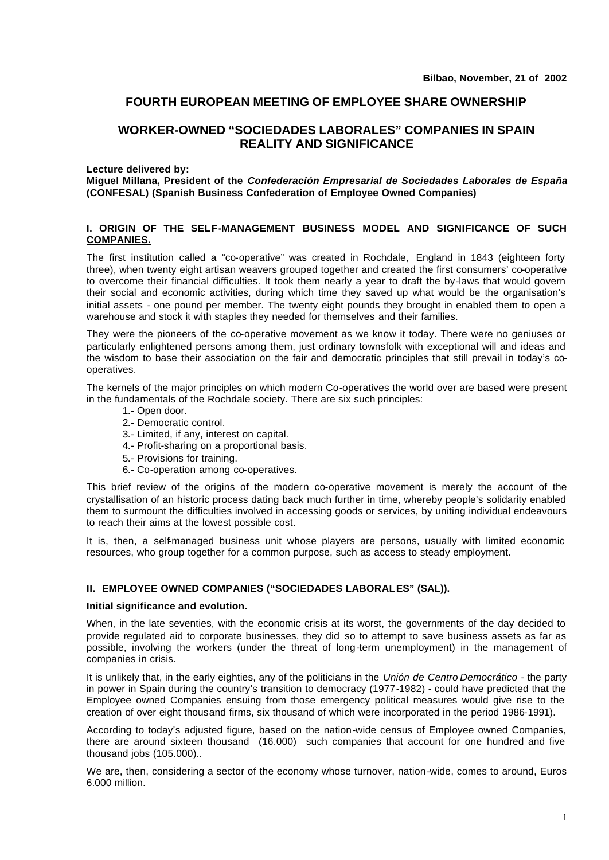# **FOURTH EUROPEAN MEETING OF EMPLOYEE SHARE OWNERSHIP**

# **WORKER-OWNED "SOCIEDADES LABORALES" COMPANIES IN SPAIN REALITY AND SIGNIFICANCE**

**Lecture delivered by:** 

**Miguel Millana, President of the** *Confederación Empresarial de Sociedades Laborales de España* **(CONFESAL) (Spanish Business Confederation of Employee Owned Companies)** 

## **I. ORIGIN OF THE SELF-MANAGEMENT BUSINESS MODEL AND SIGNIFICANCE OF SUCH COMPANIES.**

The first institution called a "co-operative" was created in Rochdale, England in 1843 (eighteen forty three), when twenty eight artisan weavers grouped together and created the first consumers' co-operative to overcome their financial difficulties. It took them nearly a year to draft the by-laws that would govern their social and economic activities, during which time they saved up what would be the organisation's initial assets - one pound per member. The twenty eight pounds they brought in enabled them to open a warehouse and stock it with staples they needed for themselves and their families.

They were the pioneers of the co-operative movement as we know it today. There were no geniuses or particularly enlightened persons among them, just ordinary townsfolk with exceptional will and ideas and the wisdom to base their association on the fair and democratic principles that still prevail in today's cooperatives.

The kernels of the major principles on which modern Co-operatives the world over are based were present in the fundamentals of the Rochdale society. There are six such principles:

- 1.- Open door.
- 2.- Democratic control.
- 3.- Limited, if any, interest on capital.
- 4.- Profit-sharing on a proportional basis.
- 5.- Provisions for training.
- 6.- Co-operation among co-operatives.

This brief review of the origins of the modern co-operative movement is merely the account of the crystallisation of an historic process dating back much further in time, whereby people's solidarity enabled them to surmount the difficulties involved in accessing goods or services, by uniting individual endeavours to reach their aims at the lowest possible cost.

It is, then, a self-managed business unit whose players are persons, usually with limited economic resources, who group together for a common purpose, such as access to steady employment.

# **II. EMPLOYEE OWNED COMPANIES ("SOCIEDADES LABORALES" (SAL)).**

#### **Initial significance and evolution.**

When, in the late seventies, with the economic crisis at its worst, the governments of the day decided to provide regulated aid to corporate businesses, they did so to attempt to save business assets as far as possible, involving the workers (under the threat of long-term unemployment) in the management of companies in crisis.

It is unlikely that, in the early eighties, any of the politicians in the *Unión de Centro Democrático* - the party in power in Spain during the country's transition to democracy (1977-1982) - could have predicted that the Employee owned Companies ensuing from those emergency political measures would give rise to the creation of over eight thousand firms, six thousand of which were incorporated in the period 1986-1991).

According to today's adjusted figure, based on the nation-wide census of Employee owned Companies, there are around sixteen thousand (16.000) such companies that account for one hundred and five thousand jobs (105.000)..

We are, then, considering a sector of the economy whose turnover, nation-wide, comes to around, Euros 6.000 million.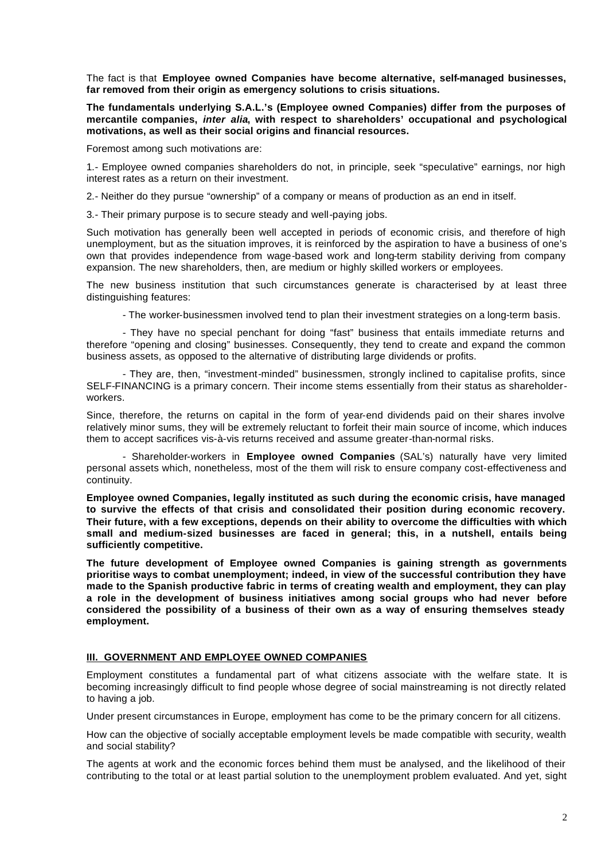The fact is that **Employee owned Companies have become alternative, self-managed businesses, far removed from their origin as emergency solutions to crisis situations.**

**The fundamentals underlying S.A.L.'s (Employee owned Companies) differ from the purposes of mercantile companies,** *inter alia***, with respect to shareholders' occupational and psychological motivations, as well as their social origins and financial resources.**

Foremost among such motivations are:

1.- Employee owned companies shareholders do not, in principle, seek "speculative" earnings, nor high interest rates as a return on their investment.

2.- Neither do they pursue "ownership" of a company or means of production as an end in itself.

3.- Their primary purpose is to secure steady and well-paying jobs.

Such motivation has generally been well accepted in periods of economic crisis, and therefore of high unemployment, but as the situation improves, it is reinforced by the aspiration to have a business of one's own that provides independence from wage-based work and long-term stability deriving from company expansion. The new shareholders, then, are medium or highly skilled workers or employees.

The new business institution that such circumstances generate is characterised by at least three distinguishing features:

- The worker-businessmen involved tend to plan their investment strategies on a long-term basis.

- They have no special penchant for doing "fast" business that entails immediate returns and therefore "opening and closing" businesses. Consequently, they tend to create and expand the common business assets, as opposed to the alternative of distributing large dividends or profits.

- They are, then, "investment-minded" businessmen, strongly inclined to capitalise profits, since SELF-FINANCING is a primary concern. Their income stems essentially from their status as shareholderworkers.

Since, therefore, the returns on capital in the form of year-end dividends paid on their shares involve relatively minor sums, they will be extremely reluctant to forfeit their main source of income, which induces them to accept sacrifices vis-à-vis returns received and assume greater-than-normal risks.

- Shareholder-workers in **Employee owned Companies** (SAL's) naturally have very limited personal assets which, nonetheless, most of the them will risk to ensure company cost-effectiveness and continuity.

**Employee owned Companies, legally instituted as such during the economic crisis, have managed to survive the effects of that crisis and consolidated their position during economic recovery. Their future, with a few exceptions, depends on their ability to overcome the difficulties with which small and medium-sized businesses are faced in general; this, in a nutshell, entails being sufficiently competitive.**

**The future development of Employee owned Companies is gaining strength as governments prioritise ways to combat unemployment; indeed, in view of the successful contribution they have made to the Spanish productive fabric in terms of creating wealth and employment, they can play a role in the development of business initiatives among social groups who had never before considered the possibility of a business of their own as a way of ensuring themselves steady employment.**

### **III. GOVERNMENT AND EMPLOYEE OWNED COMPANIES**

Employment constitutes a fundamental part of what citizens associate with the welfare state. It is becoming increasingly difficult to find people whose degree of social mainstreaming is not directly related to having a job.

Under present circumstances in Europe, employment has come to be the primary concern for all citizens.

How can the objective of socially acceptable employment levels be made compatible with security, wealth and social stability?

The agents at work and the economic forces behind them must be analysed, and the likelihood of their contributing to the total or at least partial solution to the unemployment problem evaluated. And yet, sight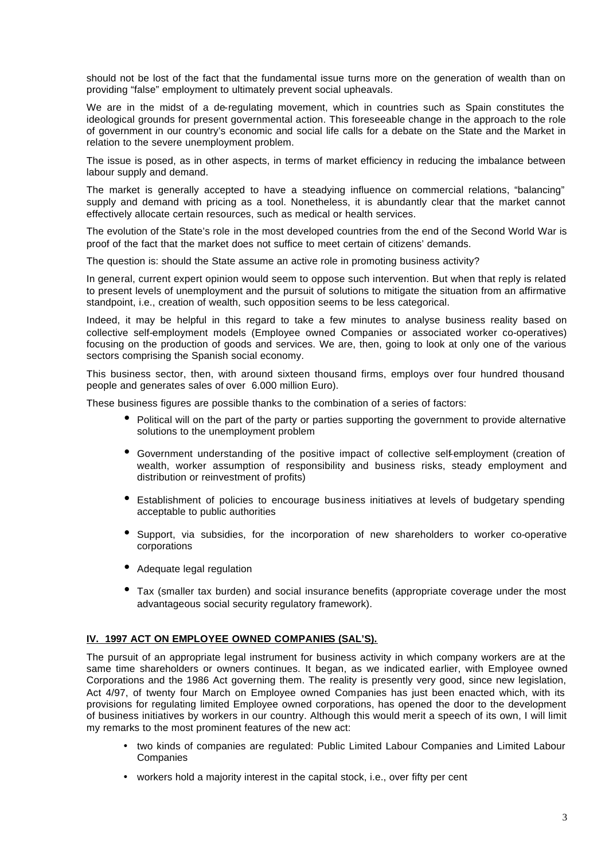should not be lost of the fact that the fundamental issue turns more on the generation of wealth than on providing "false" employment to ultimately prevent social upheavals.

We are in the midst of a de-regulating movement, which in countries such as Spain constitutes the ideological grounds for present governmental action. This foreseeable change in the approach to the role of government in our country's economic and social life calls for a debate on the State and the Market in relation to the severe unemployment problem.

The issue is posed, as in other aspects, in terms of market efficiency in reducing the imbalance between labour supply and demand.

The market is generally accepted to have a steadying influence on commercial relations, "balancing" supply and demand with pricing as a tool. Nonetheless, it is abundantly clear that the market cannot effectively allocate certain resources, such as medical or health services.

The evolution of the State's role in the most developed countries from the end of the Second World War is proof of the fact that the market does not suffice to meet certain of citizens' demands.

The question is: should the State assume an active role in promoting business activity?

In general, current expert opinion would seem to oppose such intervention. But when that reply is related to present levels of unemployment and the pursuit of solutions to mitigate the situation from an affirmative standpoint, i.e., creation of wealth, such opposition seems to be less categorical.

Indeed, it may be helpful in this regard to take a few minutes to analyse business reality based on collective self-employment models (Employee owned Companies or associated worker co-operatives) focusing on the production of goods and services. We are, then, going to look at only one of the various sectors comprising the Spanish social economy.

This business sector, then, with around sixteen thousand firms, employs over four hundred thousand people and generates sales of over 6.000 million Euro).

These business figures are possible thanks to the combination of a series of factors:

- Political will on the part of the party or parties supporting the government to provide alternative solutions to the unemployment problem
- Government understanding of the positive impact of collective self-employment (creation of wealth, worker assumption of responsibility and business risks, steady employment and distribution or reinvestment of profits)
- Establishment of policies to encourage business initiatives at levels of budgetary spending acceptable to public authorities
- Support, via subsidies, for the incorporation of new shareholders to worker co-operative corporations
- Adequate legal regulation
- Tax (smaller tax burden) and social insurance benefits (appropriate coverage under the most advantageous social security regulatory framework).

### **IV. 1997 ACT ON EMPLOYEE OWNED COMPANIES (SAL'S).**

The pursuit of an appropriate legal instrument for business activity in which company workers are at the same time shareholders or owners continues. It began, as we indicated earlier, with Employee owned Corporations and the 1986 Act governing them. The reality is presently very good, since new legislation, Act 4/97, of twenty four March on Employee owned Companies has just been enacted which, with its provisions for regulating limited Employee owned corporations, has opened the door to the development of business initiatives by workers in our country. Although this would merit a speech of its own, I will limit my remarks to the most prominent features of the new act:

- two kinds of companies are regulated: Public Limited Labour Companies and Limited Labour **Companies**
- workers hold a majority interest in the capital stock, i.e., over fifty per cent